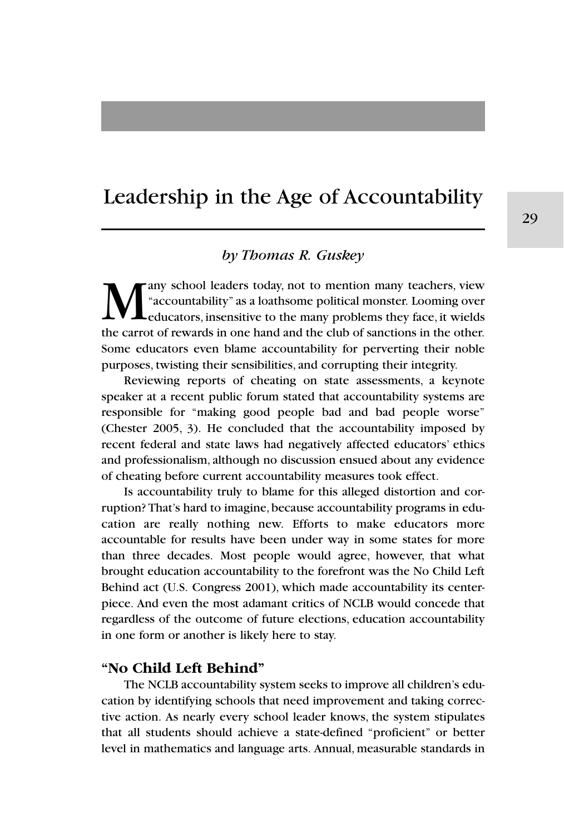# Leadership in the Age of Accountability

## *by Thomas R. Guskey*

Many school leaders today, not to mention many teachers, view<br>
"accountability" as a loathsome political monster. Looming over<br>
the carrot of rewards in one hand and the club of sanctions in the other "accountability" as a loathsome political monster. Looming over educators, insensitive to the many problems they face, it wields the carrot of rewards in one hand and the club of sanctions in the other. Some educators even blame accountability for perverting their noble purposes, twisting their sensibilities, and corrupting their integrity.

Reviewing reports of cheating on state assessments, a keynote speaker at a recent public forum stated that accountability systems are responsible for "making good people bad and bad people worse" (Chester 2005, 3). He concluded that the accountability imposed by recent federal and state laws had negatively affected educators' ethics and professionalism, although no discussion ensued about any evidence of cheating before current accountability measures took effect.

Is accountability truly to blame for this alleged distortion and corruption? That's hard to imagine, because accountability programs in education are really nothing new. Efforts to make educators more accountable for results have been under way in some states for more than three decades. Most people would agree, however, that what brought education accountability to the forefront was the No Child Left Behind act (U.S. Congress 2001), which made accountability its centerpiece. And even the most adamant critics of NCLB would concede that regardless of the outcome of future elections, education accountability in one form or another is likely here to stay.

## **"No Child Left Behind"**

The NCLB accountability system seeks to improve all children's education by identifying schools that need improvement and taking corrective action. As nearly every school leader knows, the system stipulates that all students should achieve a state-defined "proficient" or better level in mathematics and language arts. Annual, measurable standards in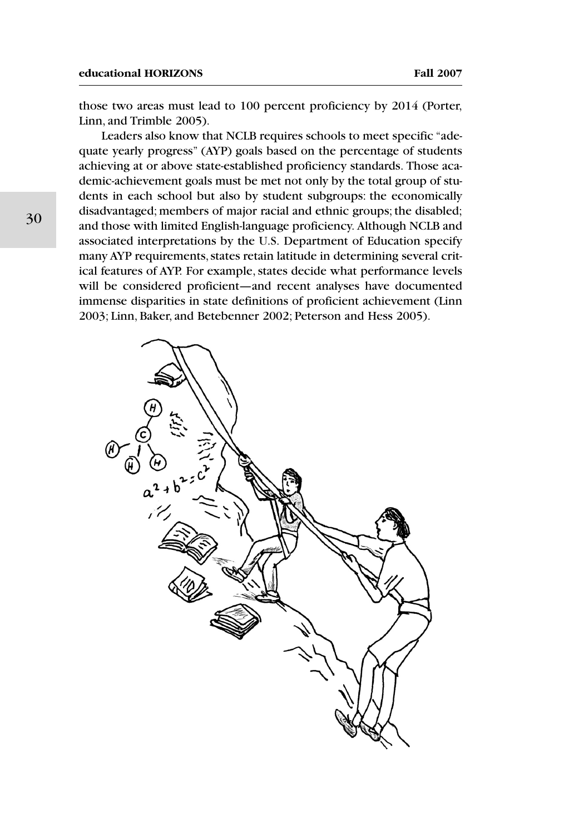those two areas must lead to 100 percent proficiency by 2014 (Porter, Linn, and Trimble 2005).

Leaders also know that NCLB requires schools to meet specific "adequate yearly progress" (AYP) goals based on the percentage of students achieving at or above state-established proficiency standards. Those academic-achievement goals must be met not only by the total group of students in each school but also by student subgroups: the economically disadvantaged; members of major racial and ethnic groups; the disabled; and those with limited English-language proficiency. Although NCLB and associated interpretations by the U.S. Department of Education specify many AYP requirements, states retain latitude in determining several critical features of AYP. For example, states decide what performance levels will be considered proficient—and recent analyses have documented immense disparities in state definitions of proficient achievement (Linn 2003; Linn, Baker, and Betebenner 2002; Peterson and Hess 2005).

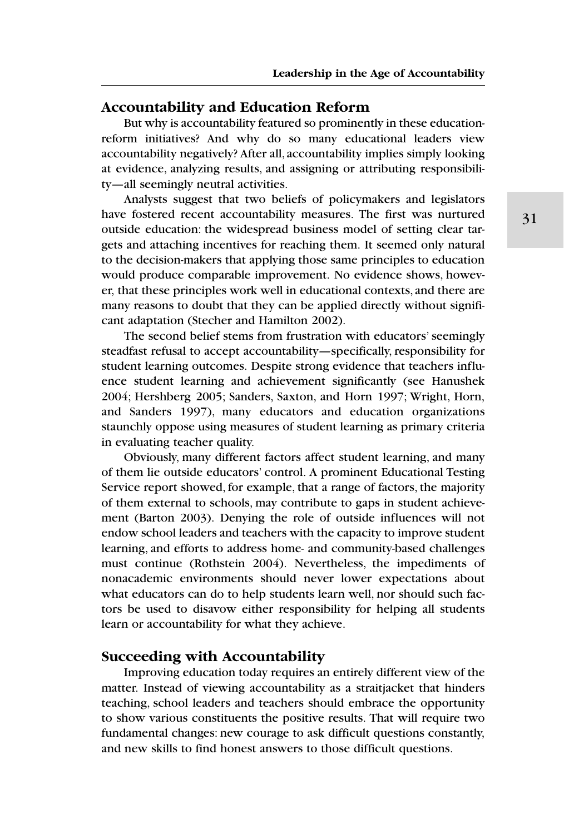## **Accountability and Education Reform**

But why is accountability featured so prominently in these educationreform initiatives? And why do so many educational leaders view accountability negatively? After all, accountability implies simply looking at evidence, analyzing results, and assigning or attributing responsibility—all seemingly neutral activities.

Analysts suggest that two beliefs of policymakers and legislators have fostered recent accountability measures. The first was nurtured outside education: the widespread business model of setting clear targets and attaching incentives for reaching them. It seemed only natural to the decision-makers that applying those same principles to education would produce comparable improvement. No evidence shows, however, that these principles work well in educational contexts, and there are many reasons to doubt that they can be applied directly without significant adaptation (Stecher and Hamilton 2002).

The second belief stems from frustration with educators' seemingly steadfast refusal to accept accountability—specifically, responsibility for student learning outcomes. Despite strong evidence that teachers influence student learning and achievement significantly (see Hanushek 2004; Hershberg 2005; Sanders, Saxton, and Horn 1997; Wright, Horn, and Sanders 1997), many educators and education organizations staunchly oppose using measures of student learning as primary criteria in evaluating teacher quality.

Obviously, many different factors affect student learning, and many of them lie outside educators' control. A prominent Educational Testing Service report showed, for example, that a range of factors, the majority of them external to schools, may contribute to gaps in student achievement (Barton 2003). Denying the role of outside influences will not endow school leaders and teachers with the capacity to improve student learning, and efforts to address home- and community-based challenges must continue (Rothstein 2004). Nevertheless, the impediments of nonacademic environments should never lower expectations about what educators can do to help students learn well, nor should such factors be used to disavow either responsibility for helping all students learn or accountability for what they achieve.

#### **Succeeding with Accountability**

Improving education today requires an entirely different view of the matter. Instead of viewing accountability as a straitjacket that hinders teaching, school leaders and teachers should embrace the opportunity to show various constituents the positive results. That will require two fundamental changes: new courage to ask difficult questions constantly, and new skills to find honest answers to those difficult questions.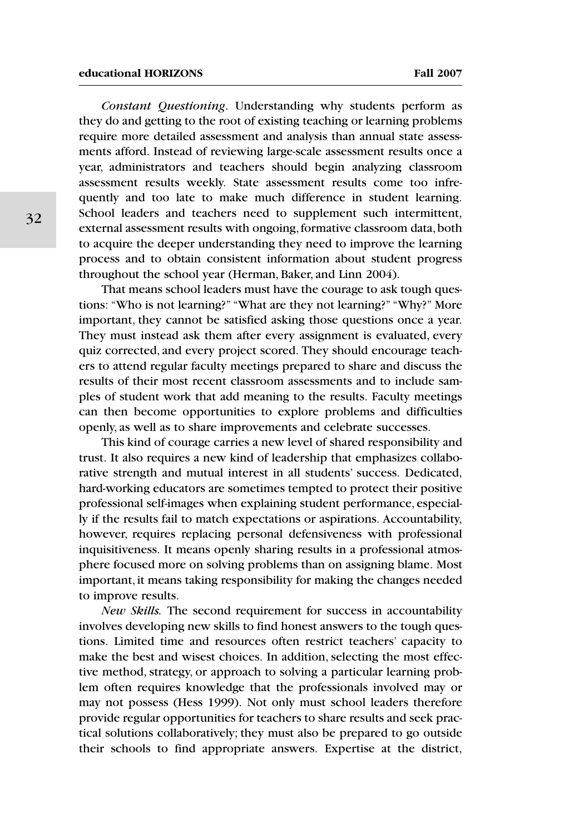#### **educational HORIZONS Fall 2007**

*Constant Questioning*. Understanding why students perform as they do and getting to the root of existing teaching or learning problems require more detailed assessment and analysis than annual state assessments afford. Instead of reviewing large-scale assessment results once a year, administrators and teachers should begin analyzing classroom assessment results weekly. State assessment results come too infrequently and too late to make much difference in student learning. School leaders and teachers need to supplement such intermittent, external assessment results with ongoing, formative classroom data, both to acquire the deeper understanding they need to improve the learning process and to obtain consistent information about student progress throughout the school year (Herman, Baker, and Linn 2004).

That means school leaders must have the courage to ask tough questions: "Who is not learning?" "What are they not learning?" "Why?" More important, they cannot be satisfied asking those questions once a year. They must instead ask them after every assignment is evaluated, every quiz corrected, and every project scored. They should encourage teachers to attend regular faculty meetings prepared to share and discuss the results of their most recent classroom assessments and to include samples of student work that add meaning to the results. Faculty meetings can then become opportunities to explore problems and difficulties openly, as well as to share improvements and celebrate successes.

This kind of courage carries a new level of shared responsibility and trust. It also requires a new kind of leadership that emphasizes collaborative strength and mutual interest in all students' success. Dedicated, hard-working educators are sometimes tempted to protect their positive professional self-images when explaining student performance, especially if the results fail to match expectations or aspirations. Accountability, however, requires replacing personal defensiveness with professional inquisitiveness. It means openly sharing results in a professional atmosphere focused more on solving problems than on assigning blame. Most important, it means taking responsibility for making the changes needed to improve results.

*New Skills.* The second requirement for success in accountability involves developing new skills to find honest answers to the tough questions. Limited time and resources often restrict teachers' capacity to make the best and wisest choices. In addition, selecting the most effective method, strategy, or approach to solving a particular learning problem often requires knowledge that the professionals involved may or may not possess (Hess 1999). Not only must school leaders therefore provide regular opportunities for teachers to share results and seek practical solutions collaboratively; they must also be prepared to go outside their schools to find appropriate answers. Expertise at the district,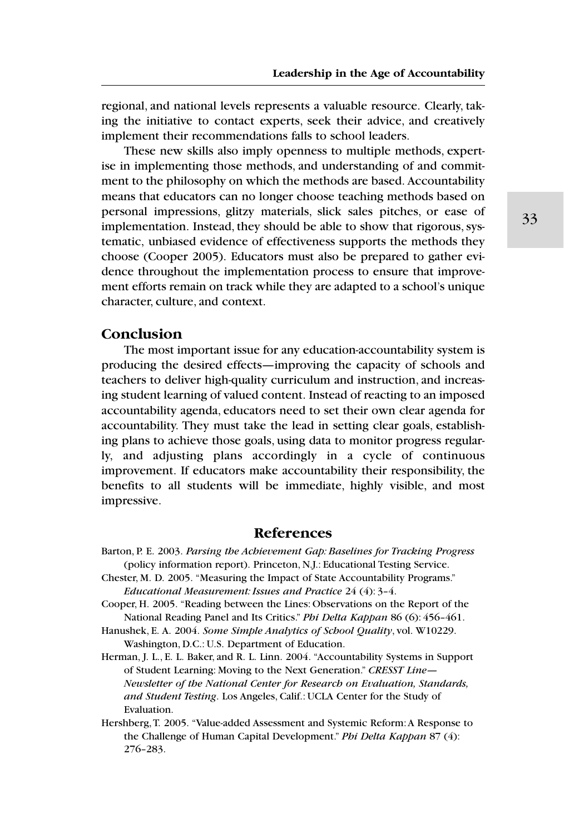regional, and national levels represents a valuable resource. Clearly, taking the initiative to contact experts, seek their advice, and creatively implement their recommendations falls to school leaders.

These new skills also imply openness to multiple methods, expertise in implementing those methods, and understanding of and commitment to the philosophy on which the methods are based. Accountability means that educators can no longer choose teaching methods based on personal impressions, glitzy materials, slick sales pitches, or ease of implementation. Instead, they should be able to show that rigorous, systematic, unbiased evidence of effectiveness supports the methods they choose (Cooper 2005). Educators must also be prepared to gather evidence throughout the implementation process to ensure that improvement efforts remain on track while they are adapted to a school's unique character, culture, and context.

## **Conclusion**

The most important issue for any education-accountability system is producing the desired effects—improving the capacity of schools and teachers to deliver high-quality curriculum and instruction, and increasing student learning of valued content. Instead of reacting to an imposed accountability agenda, educators need to set their own clear agenda for accountability. They must take the lead in setting clear goals, establishing plans to achieve those goals, using data to monitor progress regularly, and adjusting plans accordingly in a cycle of continuous improvement. If educators make accountability their responsibility, the benefits to all students will be immediate, highly visible, and most impressive.

### **References**

- Barton, P. E. 2003. *Parsing the Achievement Gap: Baselines for Tracking Progress* (policy information report). Princeton, N.J.: Educational Testing Service.
- Chester, M. D. 2005. "Measuring the Impact of State Accountability Programs." *Educational Measurement: Issues and Practice* 24 (4): 3–4.
- Cooper, H. 2005. "Reading between the Lines: Observations on the Report of the National Reading Panel and Its Critics." *Phi Delta Kappan* 86 (6): 456–461.
- Hanushek, E. A. 2004. *Some Simple Analytics of School Quality*, vol. W10229. Washington, D.C.: U.S. Department of Education.
- Herman, J. L., E. L. Baker, and R. L. Linn. 2004. "Accountability Systems in Support of Student Learning: Moving to the Next Generation." *CRESST Line— Newsletter of the National Center for Research on Evaluation, Standards, and Student Testing*. Los Angeles, Calif.: UCLA Center for the Study of Evaluation.
- Hershberg, T. 2005. "Value-added Assessment and Systemic Reform: A Response to the Challenge of Human Capital Development." *Phi Delta Kappan* 87 (4): 276–283.